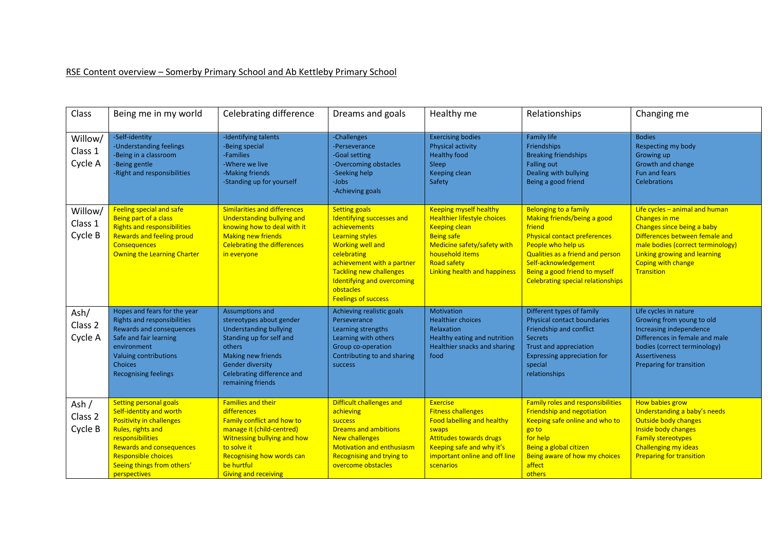## RSE Content overview – Somerby Primary School and Ab Kettleby Primary School

| Class                         | Being me in my world                                                                                                                                                                                                                                | <b>Celebrating difference</b>                                                                                                                                                                                                             | Dreams and goals                                                                                                                                                                                                                                                               | Healthy me                                                                                                                                                                                                               | Relationships                                                                                                                                                                                                                                                               | Changing me                                                                                                                                                                                                                       |
|-------------------------------|-----------------------------------------------------------------------------------------------------------------------------------------------------------------------------------------------------------------------------------------------------|-------------------------------------------------------------------------------------------------------------------------------------------------------------------------------------------------------------------------------------------|--------------------------------------------------------------------------------------------------------------------------------------------------------------------------------------------------------------------------------------------------------------------------------|--------------------------------------------------------------------------------------------------------------------------------------------------------------------------------------------------------------------------|-----------------------------------------------------------------------------------------------------------------------------------------------------------------------------------------------------------------------------------------------------------------------------|-----------------------------------------------------------------------------------------------------------------------------------------------------------------------------------------------------------------------------------|
| Willow/<br>Class 1<br>Cycle A | -Self-identity<br>-Understanding feelings<br>-Being in a classroom<br>-Being gentle<br>-Right and responsibilities                                                                                                                                  | -Identifying talents<br>-Being special<br>-Families<br>-Where we live<br>-Making friends<br>-Standing up for yourself                                                                                                                     | -Challenges<br>-Perseverance<br>-Goal setting<br>-Overcoming obstacles<br>-Seeking help<br>-Jobs<br>-Achieving goals                                                                                                                                                           | <b>Exercising bodies</b><br>Physical activity<br><b>Healthy food</b><br>Sleep<br>Keeping clean<br>Safety                                                                                                                 | <b>Family life</b><br>Friendships<br><b>Breaking friendships</b><br><b>Falling out</b><br>Dealing with bullying<br>Being a good friend                                                                                                                                      | <b>Bodies</b><br>Respecting my body<br>Growing up<br>Growth and change<br><b>Fun and fears</b><br><b>Celebrations</b>                                                                                                             |
| Willow/<br>Class 1<br>Cycle B | Feeling special and safe<br>Being part of a class<br><b>Rights and responsibilities</b><br><b>Rewards and feeling proud</b><br><b>Consequences</b><br>Owning the Learning Charter                                                                   | <b>Similarities and differences</b><br>Understanding bullying and<br>knowing how to deal with it<br><b>Making new friends</b><br><b>Celebrating the differences</b><br>in everyone                                                        | <b>Setting goals</b><br>Identifying successes and<br>achievements<br><b>Learning styles</b><br><b>Working well and</b><br>celebrating<br>achievement with a partner<br><b>Tackling new challenges</b><br>Identifying and overcoming<br>obstacles<br><b>Feelings of success</b> | <b>Keeping myself healthy</b><br><b>Healthier lifestyle choices</b><br><b>Keeping clean</b><br><b>Being safe</b><br>Medicine safety/safety with<br>household items<br><b>Road safety</b><br>Linking health and happiness | <b>Belonging to a family</b><br>Making friends/being a good<br>friend<br><b>Physical contact preferences</b><br>People who help us<br>Qualities as a friend and person<br>Self-acknowledgement<br>Being a good friend to myself<br><b>Celebrating special relationships</b> | Life cycles $-$ animal and human<br>Changes in me<br>Changes since being a baby<br>Differences between female and<br>male bodies (correct terminology)<br>Linking growing and learning<br><b>Coping with change</b><br>Transition |
| Ash/<br>Class 2<br>Cycle A    | Hopes and fears for the year<br>Rights and responsibilities<br>Rewards and consequences<br>Safe and fair learning<br>environment<br><b>Valuing contributions</b><br><b>Choices</b><br><b>Recognising feelings</b>                                   | Assumptions and<br>stereotypes about gender<br><b>Understanding bullying</b><br>Standing up for self and<br>others<br>Making new friends<br><b>Gender diversity</b><br>Celebrating difference and<br>remaining friends                    | Achieving realistic goals<br>Perseverance<br>Learning strengths<br>Learning with others<br>Group co-operation<br>Contributing to and sharing<br>success                                                                                                                        | Motivation<br><b>Healthier choices</b><br>Relaxation<br>Healthy eating and nutrition<br>Healthier snacks and sharing<br>food                                                                                             | Different types of family<br><b>Physical contact boundaries</b><br>Friendship and conflict<br><b>Secrets</b><br><b>Trust and appreciation</b><br>Expressing appreciation for<br>special<br>relationships                                                                    | Life cycles in nature<br>Growing from young to old<br>Increasing independence<br>Differences in female and male<br>bodies (correct terminology)<br><b>Assertiveness</b><br>Preparing for transition                               |
| Ash/<br>Class 2<br>Cycle B    | <b>Setting personal goals</b><br>Self-identity and worth<br><b>Positivity in challenges</b><br>Rules, rights and<br>responsibilities<br><b>Rewards and consequences</b><br><b>Responsible choices</b><br>Seeing things from others'<br>perspectives | <b>Families and their</b><br>differences<br><b>Family conflict and how to</b><br>manage it (child-centred)<br>Witnessing bullying and how<br>to solve it<br><b>Recognising how words can</b><br>be hurtful<br><b>Giving and receiving</b> | Difficult challenges and<br>achieving<br>success<br><b>Dreams and ambitions</b><br>New challenges<br><b>Motivation and enthusiasm</b><br>Recognising and trying to<br>overcome obstacles                                                                                       | <b>Exercise</b><br><b>Fitness challenges</b><br><b>Food labelling and healthy</b><br>swaps<br><b>Attitudes towards drugs</b><br>Keeping safe and why it's<br>important online and off line<br>scenarios                  | <b>Family roles and responsibilities</b><br><b>Friendship and negotiation</b><br>Keeping safe online and who to<br>go to<br>for help<br>Being a global citizen<br>Being aware of how my choices<br>affect<br>others                                                         | How babies grow<br>Understanding a baby's needs<br>Outside body changes<br>Inside body changes<br><b>Family stereotypes</b><br><b>Challenging my ideas</b><br><b>Preparing for transition</b>                                     |